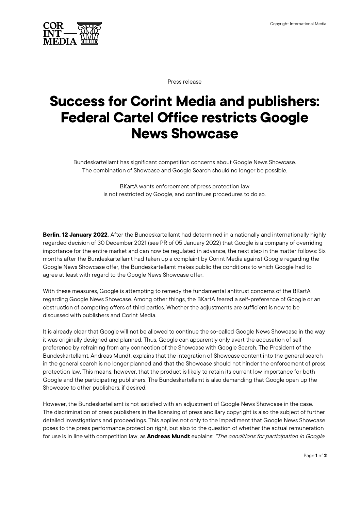

Press release

## **Success for Corint Media and publishers: Federal Cartel Office restricts Google News Showcase**

Bundeskartellamt has significant competition concerns about Google News Showcase. The combination of Showcase and Google Search should no longer be possible.

> BKartA wants enforcement of press protection law is not restricted by Google, and continues procedures to do so.

**Berlin, 12 January 2022.** After the Bundeskartellamt had determined in a nationally and internationally highly regarded decision of 30 December 2021 (see PR of 05 January 2022) that Google is a company of overriding importance for the entire market and can now be regulated in advance, the next step in the matter follows: Six months after the Bundeskartellamt had taken up a complaint by Corint Media against Google regarding the Google News Showcase offer, the Bundeskartellamt makes public the conditions to which Google had to agree at least with regard to the Google News Showcase offer.

With these measures, Google is attempting to remedy the fundamental antitrust concerns of the BKartA regarding Google News Showcase. Among other things, the BKartA feared a self-preference of Google or an obstruction of competing offers of third parties. Whether the adjustments are sufficient is now to be discussed with publishers and Corint Media.

It is already clear that Google will not be allowed to continue the so-called Google News Showcase in the way it was originally designed and planned. Thus, Google can apparently only avert the accusation of selfpreference by refraining from any connection of the Showcase with Google Search. The President of the Bundeskartellamt, Andreas Mundt, explains that the integration of Showcase content into the general search in the general search is no longer planned and that the Showcase should not hinder the enforcement of press protection law. This means, however, that the product is likely to retain its current low importance for both Google and the participating publishers. The Bundeskartellamt is also demanding that Google open up the Showcase to other publishers, if desired.

However, the Bundeskartellamt is not satisfied with an adjustment of Google News Showcase in the case. The discrimination of press publishers in the licensing of press ancillary copyright is also the subject of further detailed investigations and proceedings. This applies not only to the impediment that Google News Showcase poses to the press performance protection right, but also to the question of whether the actual remuneration for use is in line with competition law, as **Andreas Mundt** explains: "The conditions for participation in Google